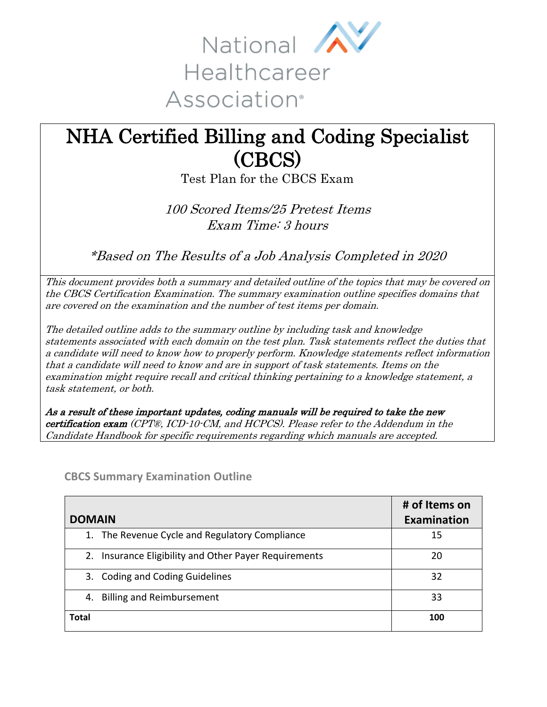

# NHA Certified Billing and Coding Specialist (CBCS)<br>Test Plan for the CBCS Exam

100 Scored Items/25 Pretest Items Exam Time: 3 hours

\*Based on The Results of a Job Analysis Completed in 2020

This document provides both a summary and detailed outline of the topics that may be covered on the CBCS Certification Examination. The summary examination outline specifies domains that are covered on the examination and the number of test items per domain.

The detailed outline adds to the summary outline by including task and knowledge statements associated with each domain on the test plan. Task statements reflect the duties that a candidate will need to know how to properly perform. Knowledge statements reflect information that a candidate will need to know and are in support of task statements. Items on the examination might require recall and critical thinking pertaining to a knowledge statement, a task statement, or both.

As a result of these important updates, coding manuals will be required to take the new certification exam (CPT®, ICD-10-CM, and HCPCS). Please refer to the Addendum in the Candidate Handbook for specific requirements regarding which manuals are accepted.

|                                                          | # of Items on |
|----------------------------------------------------------|---------------|
| <b>DOMAIN</b>                                            | Examination   |
| 1. The Revenue Cycle and Regulatory Compliance           | 15            |
| Insurance Eligibility and Other Payer Requirements<br>2. | 20            |
| 3. Coding and Coding Guidelines                          | 32            |
| <b>Billing and Reimbursement</b><br>4.                   | 33            |
| <b>Total</b>                                             | 100           |

**CBCS Summary Examination Outline**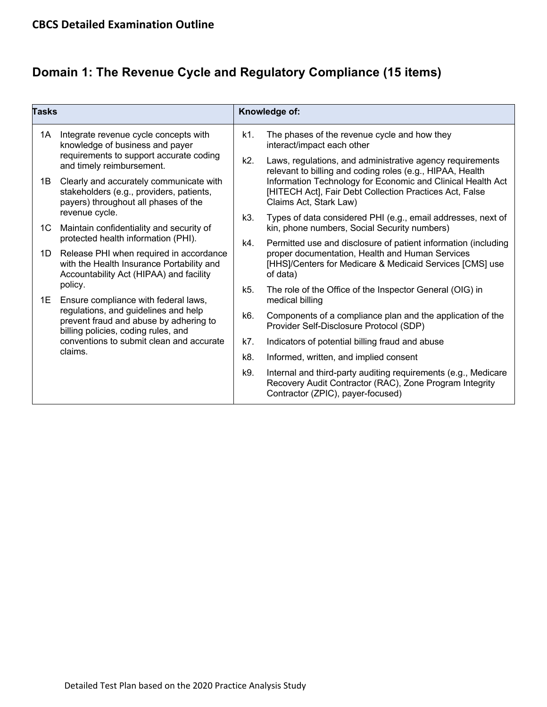## **Domain 1: The Revenue Cycle and Regulatory Compliance (15 items)**

| Tasks         |                                                                                                                                                                                                                                                                                 | Knowledge of: |                                                                                                                                                                                                                                                                            |
|---------------|---------------------------------------------------------------------------------------------------------------------------------------------------------------------------------------------------------------------------------------------------------------------------------|---------------|----------------------------------------------------------------------------------------------------------------------------------------------------------------------------------------------------------------------------------------------------------------------------|
| 1A            | Integrate revenue cycle concepts with<br>knowledge of business and payer<br>requirements to support accurate coding<br>and timely reimbursement.<br>Clearly and accurately communicate with<br>stakeholders (e.g., providers, patients,<br>payers) throughout all phases of the | k1.           | The phases of the revenue cycle and how they<br>interact/impact each other                                                                                                                                                                                                 |
|               |                                                                                                                                                                                                                                                                                 | k2.           | Laws, regulations, and administrative agency requirements<br>relevant to billing and coding roles (e.g., HIPAA, Health<br>Information Technology for Economic and Clinical Health Act<br>[HITECH Act], Fair Debt Collection Practices Act, False<br>Claims Act, Stark Law) |
| 1B            |                                                                                                                                                                                                                                                                                 |               |                                                                                                                                                                                                                                                                            |
| 1C            | revenue cycle.<br>Maintain confidentiality and security of                                                                                                                                                                                                                      | k3.           | Types of data considered PHI (e.g., email addresses, next of<br>kin, phone numbers, Social Security numbers)                                                                                                                                                               |
|               | protected health information (PHI).                                                                                                                                                                                                                                             | k4.           | Permitted use and disclosure of patient information (including                                                                                                                                                                                                             |
| 1D            | Release PHI when required in accordance<br>with the Health Insurance Portability and<br>Accountability Act (HIPAA) and facility                                                                                                                                                 |               | proper documentation, Health and Human Services<br>[HHS]/Centers for Medicare & Medicaid Services [CMS] use<br>of data)                                                                                                                                                    |
| policy.<br>1E | Ensure compliance with federal laws,                                                                                                                                                                                                                                            | k5.           | The role of the Office of the Inspector General (OIG) in<br>medical billing                                                                                                                                                                                                |
|               | regulations, and guidelines and help<br>prevent fraud and abuse by adhering to<br>billing policies, coding rules, and                                                                                                                                                           | k6.           | Components of a compliance plan and the application of the<br>Provider Self-Disclosure Protocol (SDP)                                                                                                                                                                      |
|               | conventions to submit clean and accurate<br>claims.                                                                                                                                                                                                                             | k7.           | Indicators of potential billing fraud and abuse                                                                                                                                                                                                                            |
|               |                                                                                                                                                                                                                                                                                 | k8.           | Informed, written, and implied consent                                                                                                                                                                                                                                     |
|               |                                                                                                                                                                                                                                                                                 | k9.           | Internal and third-party auditing requirements (e.g., Medicare<br>Recovery Audit Contractor (RAC), Zone Program Integrity<br>Contractor (ZPIC), payer-focused)                                                                                                             |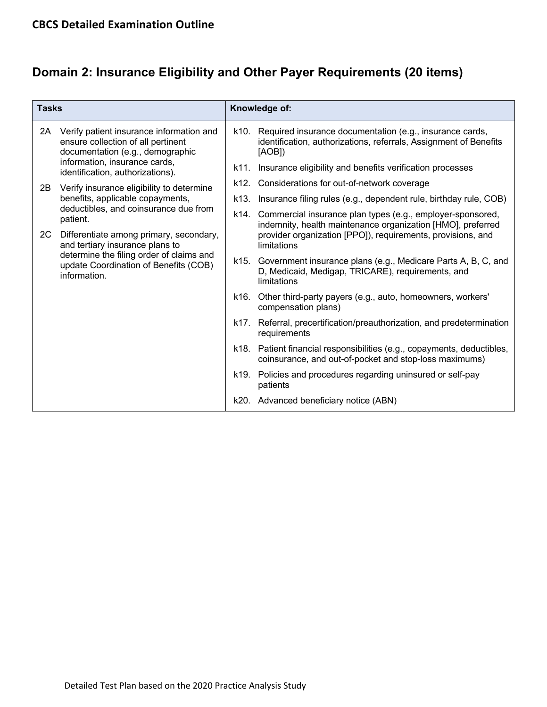### **Domain 2: Insurance Eligibility and Other Payer Requirements (20 items)**

| <b>Tasks</b> |                                                                                                                                                                                                                                                                                                                       | Knowledge of: |                                                                                                                                                                                                         |  |
|--------------|-----------------------------------------------------------------------------------------------------------------------------------------------------------------------------------------------------------------------------------------------------------------------------------------------------------------------|---------------|---------------------------------------------------------------------------------------------------------------------------------------------------------------------------------------------------------|--|
| 2A           | Verify patient insurance information and<br>ensure collection of all pertinent<br>documentation (e.g., demographic<br>information, insurance cards,<br>identification, authorizations).                                                                                                                               | k10.          | Required insurance documentation (e.g., insurance cards,<br>identification, authorizations, referrals, Assignment of Benefits<br>[AOB])                                                                 |  |
|              |                                                                                                                                                                                                                                                                                                                       | k11.          | Insurance eligibility and benefits verification processes                                                                                                                                               |  |
| 2B           | Verify insurance eligibility to determine<br>benefits, applicable copayments,<br>deductibles, and coinsurance due from<br>patient.<br>Differentiate among primary, secondary,<br>and tertiary insurance plans to<br>determine the filing order of claims and<br>update Coordination of Benefits (COB)<br>information. | k12.          | Considerations for out-of-network coverage                                                                                                                                                              |  |
|              |                                                                                                                                                                                                                                                                                                                       | k13.          | Insurance filing rules (e.g., dependent rule, birthday rule, COB)                                                                                                                                       |  |
| 2C           |                                                                                                                                                                                                                                                                                                                       | k14.          | Commercial insurance plan types (e.g., employer-sponsored,<br>indemnity, health maintenance organization [HMO], preferred<br>provider organization [PPO]), requirements, provisions, and<br>limitations |  |
|              |                                                                                                                                                                                                                                                                                                                       |               | k15. Government insurance plans (e.g., Medicare Parts A, B, C, and<br>D, Medicaid, Medigap, TRICARE), requirements, and<br>limitations                                                                  |  |
|              |                                                                                                                                                                                                                                                                                                                       | k16.          | Other third-party payers (e.g., auto, homeowners, workers'<br>compensation plans)                                                                                                                       |  |
|              |                                                                                                                                                                                                                                                                                                                       | k17.          | Referral, precertification/preauthorization, and predetermination<br>requirements                                                                                                                       |  |
|              |                                                                                                                                                                                                                                                                                                                       | k18.          | Patient financial responsibilities (e.g., copayments, deductibles,<br>coinsurance, and out-of-pocket and stop-loss maximums)                                                                            |  |
|              |                                                                                                                                                                                                                                                                                                                       | k19.          | Policies and procedures regarding uninsured or self-pay<br>patients                                                                                                                                     |  |
|              |                                                                                                                                                                                                                                                                                                                       | k20.          | Advanced beneficiary notice (ABN)                                                                                                                                                                       |  |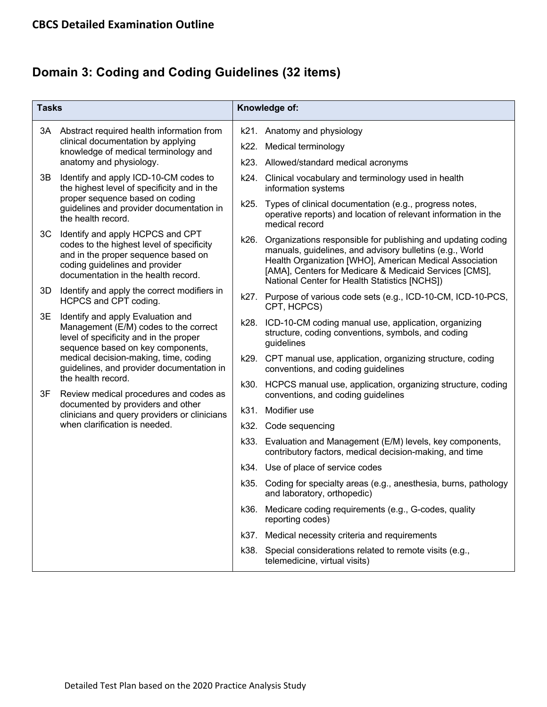## **Domain 3: Coding and Coding Guidelines (32 items)**

| <b>Tasks</b>                                                                                          |                                                                                                                                                                                                                                                 |      | Knowledge of:                                                                                                                                                                                                                                                                                  |
|-------------------------------------------------------------------------------------------------------|-------------------------------------------------------------------------------------------------------------------------------------------------------------------------------------------------------------------------------------------------|------|------------------------------------------------------------------------------------------------------------------------------------------------------------------------------------------------------------------------------------------------------------------------------------------------|
|                                                                                                       | 3A Abstract required health information from                                                                                                                                                                                                    |      | k21. Anatomy and physiology                                                                                                                                                                                                                                                                    |
| clinical documentation by applying<br>knowledge of medical terminology and<br>anatomy and physiology. |                                                                                                                                                                                                                                                 |      | k22. Medical terminology                                                                                                                                                                                                                                                                       |
|                                                                                                       |                                                                                                                                                                                                                                                 |      | k23. Allowed/standard medical acronyms                                                                                                                                                                                                                                                         |
| 3B                                                                                                    | Identify and apply ICD-10-CM codes to<br>the highest level of specificity and in the<br>proper sequence based on coding<br>guidelines and provider documentation in<br>the health record.                                                       |      | k24. Clinical vocabulary and terminology used in health<br>information systems                                                                                                                                                                                                                 |
|                                                                                                       |                                                                                                                                                                                                                                                 | k25. | Types of clinical documentation (e.g., progress notes,<br>operative reports) and location of relevant information in the<br>medical record                                                                                                                                                     |
| ЗC                                                                                                    | Identify and apply HCPCS and CPT<br>codes to the highest level of specificity<br>and in the proper sequence based on<br>coding guidelines and provider<br>documentation in the health record.                                                   | k26. | Organizations responsible for publishing and updating coding<br>manuals, guidelines, and advisory bulletins (e.g., World<br>Health Organization [WHO], American Medical Association<br>[AMA], Centers for Medicare & Medicaid Services [CMS],<br>National Center for Health Statistics [NCHS]) |
| 3D                                                                                                    | Identify and apply the correct modifiers in<br>HCPCS and CPT coding.                                                                                                                                                                            |      | k27. Purpose of various code sets (e.g., ICD-10-CM, ICD-10-PCS,<br>CPT, HCPCS)                                                                                                                                                                                                                 |
| 3E                                                                                                    | Identify and apply Evaluation and<br>Management (E/M) codes to the correct<br>level of specificity and in the proper<br>sequence based on key components,<br>medical decision-making, time, coding<br>guidelines, and provider documentation in |      | k28. ICD-10-CM coding manual use, application, organizing<br>structure, coding conventions, symbols, and coding<br>guidelines                                                                                                                                                                  |
|                                                                                                       |                                                                                                                                                                                                                                                 |      | k29. CPT manual use, application, organizing structure, coding<br>conventions, and coding guidelines                                                                                                                                                                                           |
| 3F                                                                                                    | the health record.<br>Review medical procedures and codes as<br>documented by providers and other<br>clinicians and query providers or clinicians<br>when clarification is needed.                                                              |      | k30. HCPCS manual use, application, organizing structure, coding<br>conventions, and coding guidelines                                                                                                                                                                                         |
|                                                                                                       |                                                                                                                                                                                                                                                 |      | k31. Modifier use                                                                                                                                                                                                                                                                              |
|                                                                                                       |                                                                                                                                                                                                                                                 |      | k32. Code sequencing                                                                                                                                                                                                                                                                           |
|                                                                                                       |                                                                                                                                                                                                                                                 |      | k33. Evaluation and Management (E/M) levels, key components,<br>contributory factors, medical decision-making, and time                                                                                                                                                                        |
|                                                                                                       |                                                                                                                                                                                                                                                 |      | k34. Use of place of service codes                                                                                                                                                                                                                                                             |
|                                                                                                       |                                                                                                                                                                                                                                                 |      | k35. Coding for specialty areas (e.g., anesthesia, burns, pathology<br>and laboratory, orthopedic)                                                                                                                                                                                             |
|                                                                                                       |                                                                                                                                                                                                                                                 |      | k36. Medicare coding requirements (e.g., G-codes, quality<br>reporting codes)                                                                                                                                                                                                                  |
|                                                                                                       |                                                                                                                                                                                                                                                 | k37. | Medical necessity criteria and requirements                                                                                                                                                                                                                                                    |
|                                                                                                       |                                                                                                                                                                                                                                                 | k38. | Special considerations related to remote visits (e.g.,<br>telemedicine, virtual visits)                                                                                                                                                                                                        |